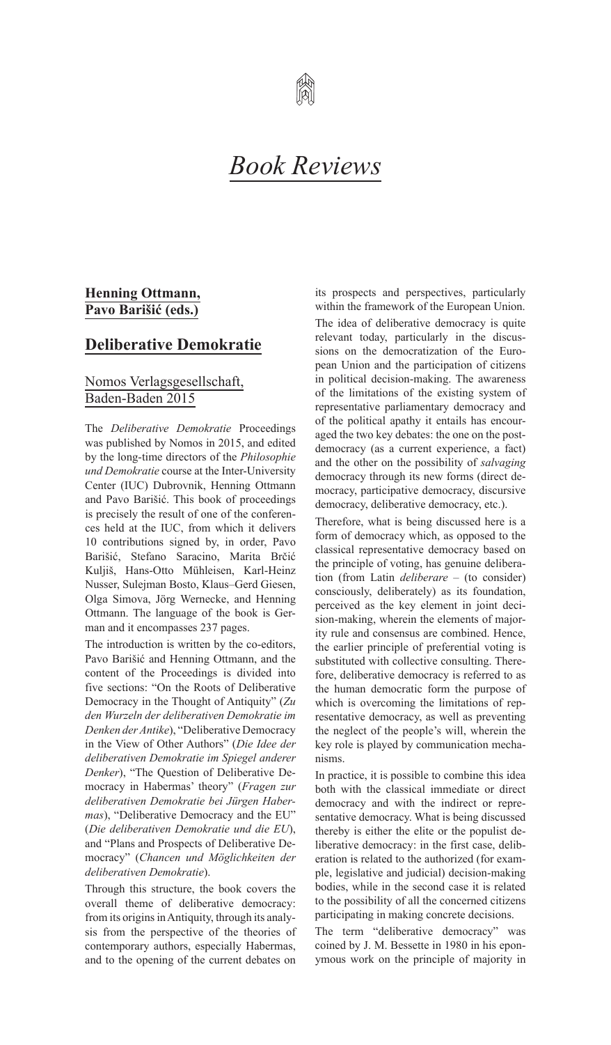

### **Henning Ottmann, Pavo Barišić (eds.)**

## **Deliberative Demokratie**

## Nomos Verlagsgesellschaft, Baden-Baden 2015

The *Deliberative Demokratie* Proceedings was published by Nomos in 2015, and edited by the long-time directors of the *Philosophie und Demokratie* course at the Inter-University Center (IUC) Dubrovnik, Henning Ottmann and Pavo Barišić. This book of proceedings is precisely the result of one of the conferences held at the IUC, from which it delivers 10 contributions signed by, in order, Pavo Barišić, Stefano Saracino, Marita Brčić Kuljiš, Hans-Otto Mühleisen, Karl-Heinz Nusser, Sulejman Bosto, Klaus–Gerd Giesen, Olga Simova, Jörg Wernecke, and Henning Ottmann. The language of the book is German and it encompasses 237 pages.

The introduction is written by the co-editors, Pavo Barišić and Henning Ottmann, and the content of the Proceedings is divided into five sections: "On the Roots of Deliberative Democracy in the Thought of Antiquity" (*Zu den Wurzeln der deliberativen Demokratie im Denken der Antike*), "Deliberative Democracy in the View of Other Authors" (*Die Idee der deliberativen Demokratie im Spiegel anderer Denker*), "The Question of Deliberative Democracy in Habermas' theory" (*Fragen zur deliberativen Demokratie bei Jürgen Habermas*), "Deliberative Democracy and the EU" (*Die deliberativen Demokratie und die EU*), and "Plans and Prospects of Deliberative Democracy" (*Chancen und Möglichkeiten der deliberativen Demokratie*).

Through this structure, the book covers the overall theme of deliberative democracy: from its origins in Antiquity, through its analysis from the perspective of the theories of contemporary authors, especially Habermas, and to the opening of the current debates on its prospects and perspectives, particularly within the framework of the European Union.

The idea of deliberative democracy is quite relevant today, particularly in the discussions on the democratization of the European Union and the participation of citizens in political decision-making. The awareness of the limitations of the existing system of representative parliamentary democracy and of the political apathy it entails has encouraged the two key debates: the one on the postdemocracy (as a current experience, a fact) and the other on the possibility of *salvaging* democracy through its new forms (direct democracy, participative democracy, discursive democracy, deliberative democracy, etc.).

Therefore, what is being discussed here is a form of democracy which, as opposed to the classical representative democracy based on the principle of voting, has genuine deliberation (from Latin *deliberare* – (to consider) consciously, deliberately) as its foundation, perceived as the key element in joint decision-making, wherein the elements of majority rule and consensus are combined. Hence, the earlier principle of preferential voting is substituted with collective consulting. Therefore, deliberative democracy is referred to as the human democratic form the purpose of which is overcoming the limitations of representative democracy, as well as preventing the neglect of the people's will, wherein the key role is played by communication mechanisms.

In practice, it is possible to combine this idea both with the classical immediate or direct democracy and with the indirect or representative democracy. What is being discussed thereby is either the elite or the populist deliberative democracy: in the first case, deliberation is related to the authorized (for example, legislative and judicial) decision-making bodies, while in the second case it is related to the possibility of all the concerned citizens participating in making concrete decisions.

The term "deliberative democracy" was coined by J. M. Bessette in 1980 in his eponymous work on the principle of majority in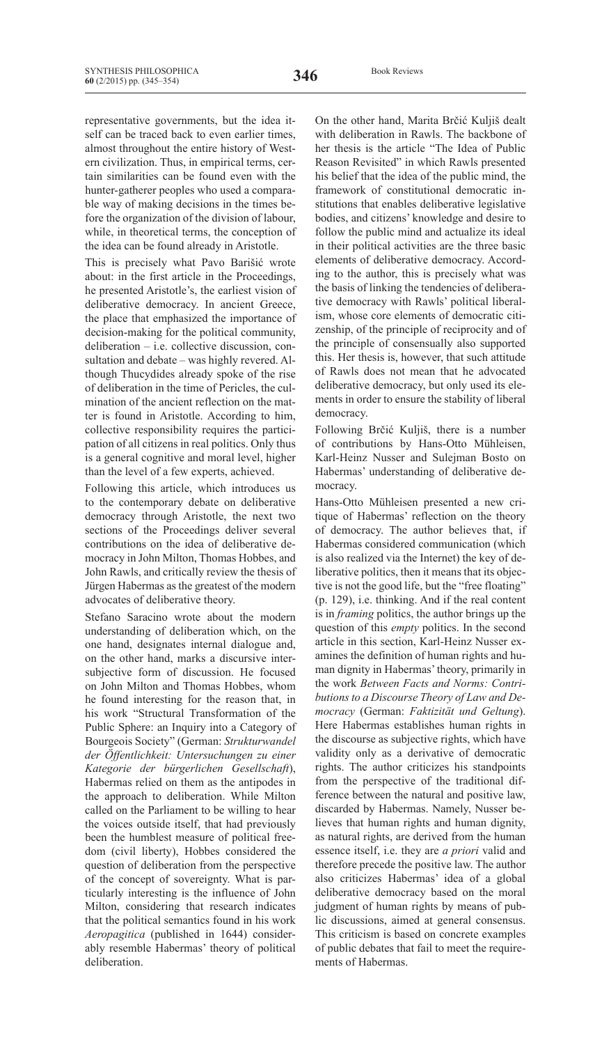representative governments, but the idea itself can be traced back to even earlier times, almost throughout the entire history of Western civilization. Thus, in empirical terms, certain similarities can be found even with the hunter-gatherer peoples who used a comparable way of making decisions in the times before the organization of the division of labour, while, in theoretical terms, the conception of the idea can be found already in Aristotle.

This is precisely what Pavo Barišić wrote about: in the first article in the Proceedings, he presented Aristotle's, the earliest vision of deliberative democracy. In ancient Greece, the place that emphasized the importance of decision-making for the political community, deliberation – i.e. collective discussion, consultation and debate – was highly revered. Although Thucydides already spoke of the rise of deliberation in the time of Pericles, the culmination of the ancient reflection on the matter is found in Aristotle. According to him, collective responsibility requires the participation of all citizens in real politics. Only thus is a general cognitive and moral level, higher than the level of a few experts, achieved.

Following this article, which introduces us to the contemporary debate on deliberative democracy through Aristotle, the next two sections of the Proceedings deliver several contributions on the idea of deliberative democracy in John Milton, Thomas Hobbes, and John Rawls, and critically review the thesis of Jürgen Habermas as the greatest of the modern advocates of deliberative theory.

Stefano Saracino wrote about the modern understanding of deliberation which, on the one hand, designates internal dialogue and, on the other hand, marks a discursive intersubjective form of discussion. He focused on John Milton and Thomas Hobbes, whom he found interesting for the reason that, in his work "Structural Transformation of the Public Sphere: an Inquiry into a Category of Bourgeois Society" (German: *Strukturwandel der Öffentlichkeit: Untersuchungen zu einer Kategorie der bürgerlichen Gesellschaft*), Habermas relied on them as the antipodes in the approach to deliberation. While Milton called on the Parliament to be willing to hear the voices outside itself, that had previously been the humblest measure of political freedom (civil liberty), Hobbes considered the question of deliberation from the perspective of the concept of sovereignty. What is particularly interesting is the influence of John Milton, considering that research indicates that the political semantics found in his work *Aeropagitica* (published in 1644) considerably resemble Habermas' theory of political deliberation.

On the other hand, Marita Brčić Kuljiš dealt with deliberation in Rawls. The backbone of her thesis is the article "The Idea of Public Reason Revisited" in which Rawls presented his belief that the idea of the public mind, the framework of constitutional democratic institutions that enables deliberative legislative bodies, and citizens' knowledge and desire to follow the public mind and actualize its ideal in their political activities are the three basic elements of deliberative democracy. According to the author, this is precisely what was the basis of linking the tendencies of deliberative democracy with Rawls' political liberalism, whose core elements of democratic citizenship, of the principle of reciprocity and of the principle of consensually also supported this. Her thesis is, however, that such attitude of Rawls does not mean that he advocated deliberative democracy, but only used its elements in order to ensure the stability of liberal democracy.

Following Brčić Kuljiš, there is a number of contributions by Hans-Otto Mühleisen, Karl-Heinz Nusser and Sulejman Bosto on Habermas' understanding of deliberative democracy.

Hans-Otto Mühleisen presented a new critique of Habermas' reflection on the theory of democracy. The author believes that, if Habermas considered communication (which is also realized via the Internet) the key of deliberative politics, then it means that its objective is not the good life, but the "free floating" (p. 129), i.e. thinking. And if the real content is in *framing* politics, the author brings up the question of this *empty* politics. In the second article in this section, Karl-Heinz Nusser examines the definition of human rights and human dignity in Habermas'theory, primarily in the work *Between Facts and Norms: Contributions to a Discourse Theory of Law and Democracy* (German: *Faktizität und Geltung*). Here Habermas establishes human rights in the discourse as subjective rights, which have validity only as a derivative of democratic rights. The author criticizes his standpoints from the perspective of the traditional difference between the natural and positive law, discarded by Habermas. Namely, Nusser believes that human rights and human dignity, as natural rights, are derived from the human essence itself, i.e. they are *a priori* valid and therefore precede the positive law. The author also criticizes Habermas' idea of a global deliberative democracy based on the moral judgment of human rights by means of public discussions, aimed at general consensus. This criticism is based on concrete examples of public debates that fail to meet the requirements of Habermas.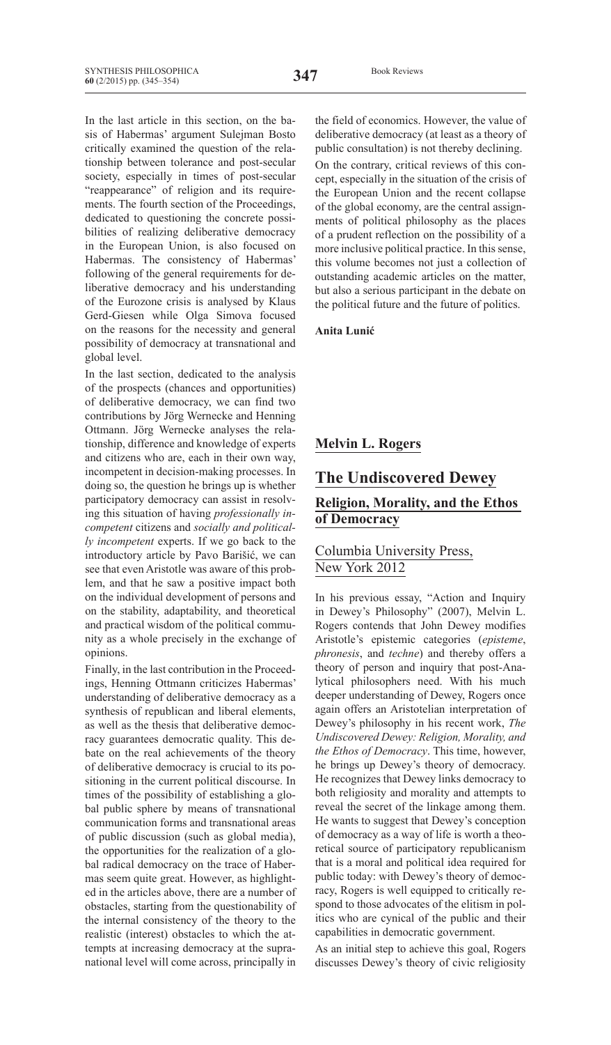In the last article in this section, on the basis of Habermas' argument Sulejman Bosto critically examined the question of the relationship between tolerance and post-secular society, especially in times of post-secular "reappearance" of religion and its requirements. The fourth section of the Proceedings, dedicated to questioning the concrete possibilities of realizing deliberative democracy in the European Union, is also focused on Habermas. The consistency of Habermas' following of the general requirements for deliberative democracy and his understanding of the Eurozone crisis is analysed by Klaus Gerd-Giesen while Olga Simova focused on the reasons for the necessity and general possibility of democracy at transnational and global level.

In the last section, dedicated to the analysis of the prospects (chances and opportunities) of deliberative democracy, we can find two contributions by Jörg Wernecke and Henning Ottmann. Jörg Wernecke analyses the relationship, difference and knowledge of experts and citizens who are, each in their own way, incompetent in decision-making processes. In doing so, the question he brings up is whether participatory democracy can assist in resolving this situation of having *professionally incompetent* citizens and *socially and politically incompetent* experts. If we go back to the introductory article by Pavo Barišić, we can see that even Aristotle was aware of this problem, and that he saw a positive impact both on the individual development of persons and on the stability, adaptability, and theoretical and practical wisdom of the political community as a whole precisely in the exchange of opinions.

Finally, in the last contribution in the Proceedings, Henning Ottmann criticizes Habermas' understanding of deliberative democracy as a synthesis of republican and liberal elements, as well as the thesis that deliberative democracy guarantees democratic quality. This debate on the real achievements of the theory of deliberative democracy is crucial to its positioning in the current political discourse. In times of the possibility of establishing a global public sphere by means of transnational communication forms and transnational areas of public discussion (such as global media), the opportunities for the realization of a global radical democracy on the trace of Habermas seem quite great. However, as highlighted in the articles above, there are a number of obstacles, starting from the questionability of the internal consistency of the theory to the realistic (interest) obstacles to which the attempts at increasing democracy at the supranational level will come across, principally in the field of economics. However, the value of deliberative democracy (at least as a theory of public consultation) is not thereby declining.

On the contrary, critical reviews of this concept, especially in the situation of the crisis of the European Union and the recent collapse of the global economy, are the central assignments of political philosophy as the places of a prudent reflection on the possibility of a more inclusive political practice. In this sense, this volume becomes not just a collection of outstanding academic articles on the matter, but also a serious participant in the debate on the political future and the future of politics.

#### **Anita Lunić**

### **Melvin L. Rogers**

#### **The Undiscovered Dewey**

#### **Religion, Morality, and the Ethos of Democracy**

#### Columbia University Press, New York 2012

In his previous essay, "Action and Inquiry in Dewey's Philosophy" (2007), Melvin L. Rogers contends that John Dewey modifies Aristotle's epistemic categories (*episteme*, *phronesis*, and *techne*) and thereby offers a theory of person and inquiry that post-Analytical philosophers need. With his much deeper understanding of Dewey, Rogers once again offers an Aristotelian interpretation of Dewey's philosophy in his recent work, *The Undiscovered Dewey: Religion, Morality, and the Ethos of Democracy*. This time, however, he brings up Dewey's theory of democracy. He recognizes that Dewey links democracy to both religiosity and morality and attempts to reveal the secret of the linkage among them. He wants to suggest that Dewey's conception of democracy as a way of life is worth a theoretical source of participatory republicanism that is a moral and political idea required for public today: with Dewey's theory of democracy, Rogers is well equipped to critically respond to those advocates of the elitism in politics who are cynical of the public and their capabilities in democratic government.

As an initial step to achieve this goal, Rogers discusses Dewey's theory of civic religiosity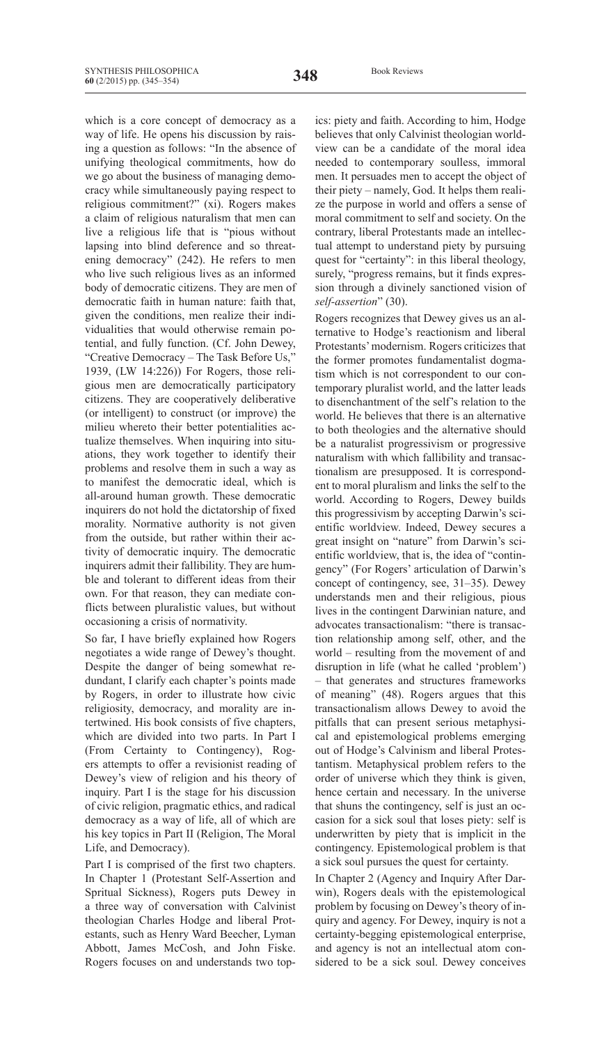which is a core concept of democracy as a way of life. He opens his discussion by raising a question as follows: "In the absence of unifying theological commitments, how do we go about the business of managing democracy while simultaneously paying respect to religious commitment?" (xi). Rogers makes a claim of religious naturalism that men can live a religious life that is "pious without lapsing into blind deference and so threatening democracy" (242). He refers to men who live such religious lives as an informed body of democratic citizens. They are men of democratic faith in human nature: faith that, given the conditions, men realize their individualities that would otherwise remain potential, and fully function. (Cf. John Dewey, "Creative Democracy – The Task Before Us," 1939, (LW 14:226)) For Rogers, those religious men are democratically participatory citizens. They are cooperatively deliberative (or intelligent) to construct (or improve) the milieu whereto their better potentialities actualize themselves. When inquiring into situations, they work together to identify their problems and resolve them in such a way as to manifest the democratic ideal, which is all-around human growth. These democratic inquirers do not hold the dictatorship of fixed morality. Normative authority is not given from the outside, but rather within their activity of democratic inquiry. The democratic inquirers admit their fallibility. They are humble and tolerant to different ideas from their own. For that reason, they can mediate conflicts between pluralistic values, but without occasioning a crisis of normativity.

So far, I have briefly explained how Rogers negotiates a wide range of Dewey's thought. Despite the danger of being somewhat redundant, I clarify each chapter's points made by Rogers, in order to illustrate how civic religiosity, democracy, and morality are intertwined. His book consists of five chapters, which are divided into two parts. In Part I (From Certainty to Contingency), Rogers attempts to offer a revisionist reading of Dewey's view of religion and his theory of inquiry. Part I is the stage for his discussion of civic religion, pragmatic ethics, and radical democracy as a way of life, all of which are his key topics in Part II (Religion, The Moral Life, and Democracy).

Part I is comprised of the first two chapters. In Chapter 1 (Protestant Self-Assertion and Spritual Sickness), Rogers puts Dewey in a three way of conversation with Calvinist theologian Charles Hodge and liberal Protestants, such as Henry Ward Beecher, Lyman Abbott, James McCosh, and John Fiske. Rogers focuses on and understands two top-

ics: piety and faith. According to him, Hodge believes that only Calvinist theologian worldview can be a candidate of the moral idea needed to contemporary soulless, immoral men. It persuades men to accept the object of their piety – namely, God. It helps them realize the purpose in world and offers a sense of moral commitment to self and society. On the contrary, liberal Protestants made an intellectual attempt to understand piety by pursuing quest for "certainty": in this liberal theology, surely, "progress remains, but it finds expression through a divinely sanctioned vision of *self-assertion*" (30).

Rogers recognizes that Dewey gives us an alternative to Hodge's reactionism and liberal Protestants'modernism. Rogers criticizes that the former promotes fundamentalist dogmatism which is not correspondent to our contemporary pluralist world, and the latter leads to disenchantment of the self's relation to the world. He believes that there is an alternative to both theologies and the alternative should be a naturalist progressivism or progressive naturalism with which fallibility and transactionalism are presupposed. It is correspondent to moral pluralism and links the self to the world. According to Rogers, Dewey builds this progressivism by accepting Darwin's scientific worldview. Indeed, Dewey secures a great insight on "nature" from Darwin's scientific worldview, that is, the idea of "contingency" (For Rogers' articulation of Darwin's concept of contingency, see, 31–35). Dewey understands men and their religious, pious lives in the contingent Darwinian nature, and advocates transactionalism: "there is transaction relationship among self, other, and the world – resulting from the movement of and disruption in life (what he called 'problem') – that generates and structures frameworks of meaning" (48). Rogers argues that this transactionalism allows Dewey to avoid the pitfalls that can present serious metaphysical and epistemological problems emerging out of Hodge's Calvinism and liberal Protestantism. Metaphysical problem refers to the order of universe which they think is given, hence certain and necessary. In the universe that shuns the contingency, self is just an occasion for a sick soul that loses piety: self is underwritten by piety that is implicit in the contingency. Epistemological problem is that a sick soul pursues the quest for certainty.

In Chapter 2 (Agency and Inquiry After Darwin), Rogers deals with the epistemological problem by focusing on Dewey's theory of inquiry and agency. For Dewey, inquiry is not a certainty-begging epistemological enterprise, and agency is not an intellectual atom considered to be a sick soul. Dewey conceives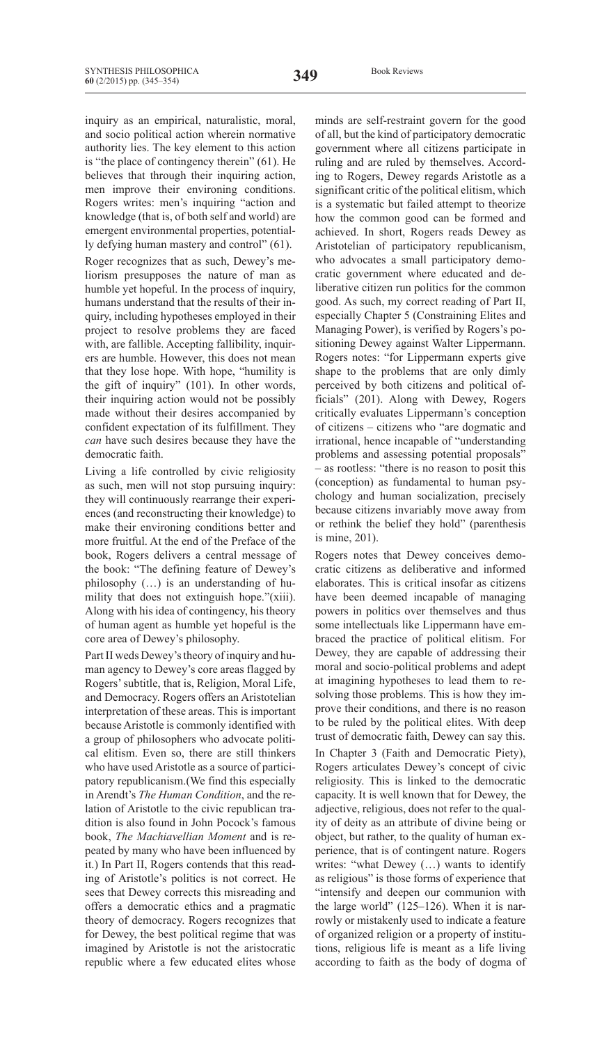inquiry as an empirical, naturalistic, moral, and socio political action wherein normative authority lies. The key element to this action is "the place of contingency therein" (61). He believes that through their inquiring action, men improve their environing conditions. Rogers writes: men's inquiring "action and knowledge (that is, of both self and world) are emergent environmental properties, potentially defying human mastery and control" (61). Roger recognizes that as such, Dewey's meliorism presupposes the nature of man as humble yet hopeful. In the process of inquiry, humans understand that the results of their inquiry, including hypotheses employed in their project to resolve problems they are faced with, are fallible. Accepting fallibility, inquirers are humble. However, this does not mean that they lose hope. With hope, "humility is the gift of inquiry" (101). In other words, their inquiring action would not be possibly made without their desires accompanied by confident expectation of its fulfillment. They *can* have such desires because they have the democratic faith.

Living a life controlled by civic religiosity as such, men will not stop pursuing inquiry: they will continuously rearrange their experiences (and reconstructing their knowledge) to make their environing conditions better and more fruitful. At the end of the Preface of the book, Rogers delivers a central message of the book: "The defining feature of Dewey's philosophy (…) is an understanding of humility that does not extinguish hope."(xiii). Along with his idea of contingency, his theory of human agent as humble yet hopeful is the core area of Dewey's philosophy.

Part II weds Dewey's theory of inquiry and human agency to Dewey's core areas flagged by Rogers'subtitle, that is, Religion, Moral Life, and Democracy. Rogers offers an Aristotelian interpretation of these areas. This is important because Aristotle is commonly identified with a group of philosophers who advocate political elitism. Even so, there are still thinkers who have used Aristotle as a source of participatory republicanism.(We find this especially in Arendt's *The Human Condition*, and the relation of Aristotle to the civic republican tradition is also found in John Pocock's famous book, *The Machiavellian Moment* and is repeated by many who have been influenced by it.) In Part II, Rogers contends that this reading of Aristotle's politics is not correct. He sees that Dewey corrects this misreading and offers a democratic ethics and a pragmatic theory of democracy. Rogers recognizes that for Dewey, the best political regime that was imagined by Aristotle is not the aristocratic republic where a few educated elites whose minds are self-restraint govern for the good of all, but the kind of participatory democratic government where all citizens participate in ruling and are ruled by themselves. According to Rogers, Dewey regards Aristotle as a significant critic of the political elitism, which is a systematic but failed attempt to theorize how the common good can be formed and achieved. In short, Rogers reads Dewey as Aristotelian of participatory republicanism, who advocates a small participatory democratic government where educated and deliberative citizen run politics for the common good. As such, my correct reading of Part II, especially Chapter 5 (Constraining Elites and Managing Power), is verified by Rogers's positioning Dewey against Walter Lippermann. Rogers notes: "for Lippermann experts give shape to the problems that are only dimly perceived by both citizens and political officials" (201). Along with Dewey, Rogers critically evaluates Lippermann's conception of citizens – citizens who "are dogmatic and irrational, hence incapable of "understanding problems and assessing potential proposals" – as rootless: "there is no reason to posit this (conception) as fundamental to human psychology and human socialization, precisely because citizens invariably move away from or rethink the belief they hold" (parenthesis is mine, 201).

Rogers notes that Dewey conceives democratic citizens as deliberative and informed elaborates. This is critical insofar as citizens have been deemed incapable of managing powers in politics over themselves and thus some intellectuals like Lippermann have embraced the practice of political elitism. For Dewey, they are capable of addressing their moral and socio-political problems and adept at imagining hypotheses to lead them to resolving those problems. This is how they improve their conditions, and there is no reason to be ruled by the political elites. With deep trust of democratic faith, Dewey can say this.

In Chapter 3 (Faith and Democratic Piety), Rogers articulates Dewey's concept of civic religiosity. This is linked to the democratic capacity. It is well known that for Dewey, the adjective, religious, does not refer to the quality of deity as an attribute of divine being or object, but rather, to the quality of human experience, that is of contingent nature. Rogers writes: "what Dewey (…) wants to identify as religious" is those forms of experience that "intensify and deepen our communion with the large world" (125-126). When it is narrowly or mistakenly used to indicate a feature of organized religion or a property of institutions, religious life is meant as a life living according to faith as the body of dogma of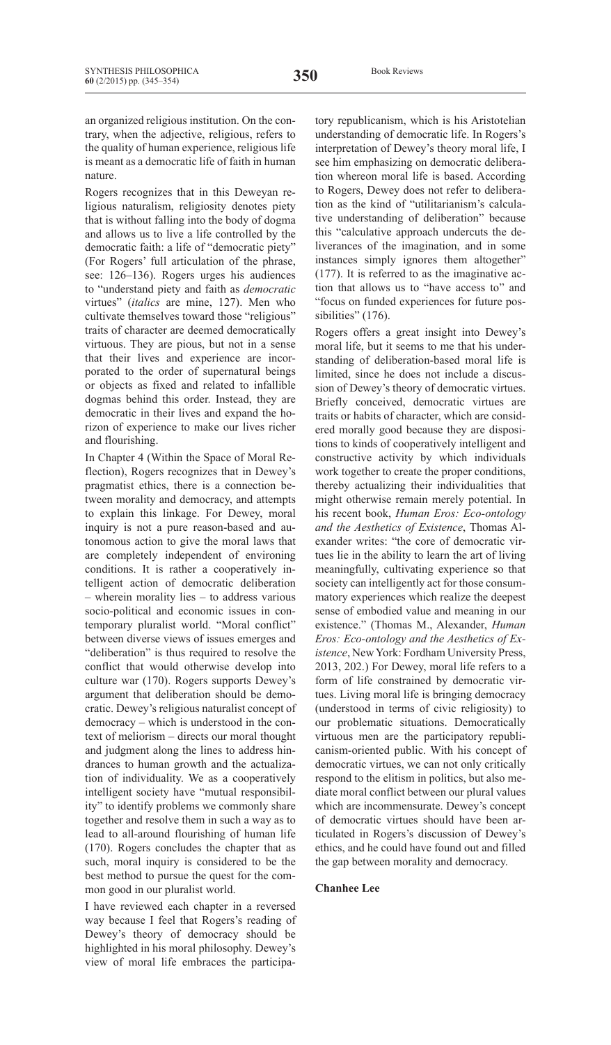an organized religious institution. On the contrary, when the adjective, religious, refers to the quality of human experience, religious life is meant as a democratic life of faith in human nature.

Rogers recognizes that in this Deweyan religious naturalism, religiosity denotes piety that is without falling into the body of dogma and allows us to live a life controlled by the democratic faith: a life of "democratic piety" (For Rogers' full articulation of the phrase, see: 126–136). Rogers urges his audiences to "understand piety and faith as *democratic* virtues" (*italics* are mine, 127). Men who cultivate themselves toward those "religious" traits of character are deemed democratically virtuous. They are pious, but not in a sense that their lives and experience are incorporated to the order of supernatural beings or objects as fixed and related to infallible dogmas behind this order. Instead, they are democratic in their lives and expand the horizon of experience to make our lives richer and flourishing.

In Chapter 4 (Within the Space of Moral Reflection), Rogers recognizes that in Dewey's pragmatist ethics, there is a connection between morality and democracy, and attempts to explain this linkage. For Dewey, moral inquiry is not a pure reason-based and autonomous action to give the moral laws that are completely independent of environing conditions. It is rather a cooperatively intelligent action of democratic deliberation – wherein morality lies – to address various socio-political and economic issues in contemporary pluralist world. "Moral conflict" between diverse views of issues emerges and "deliberation" is thus required to resolve the conflict that would otherwise develop into culture war (170). Rogers supports Dewey's argument that deliberation should be democratic. Dewey's religious naturalist concept of democracy – which is understood in the context of meliorism – directs our moral thought and judgment along the lines to address hindrances to human growth and the actualization of individuality. We as a cooperatively intelligent society have "mutual responsibility" to identify problems we commonly share together and resolve them in such a way as to lead to all-around flourishing of human life (170). Rogers concludes the chapter that as such, moral inquiry is considered to be the best method to pursue the quest for the common good in our pluralist world.

I have reviewed each chapter in a reversed way because I feel that Rogers's reading of Dewey's theory of democracy should be highlighted in his moral philosophy. Dewey's view of moral life embraces the participatory republicanism, which is his Aristotelian understanding of democratic life. In Rogers's interpretation of Dewey's theory moral life, I see him emphasizing on democratic deliberation whereon moral life is based. According to Rogers, Dewey does not refer to deliberation as the kind of "utilitarianism's calculative understanding of deliberation" because this "calculative approach undercuts the deliverances of the imagination, and in some instances simply ignores them altogether" (177). It is referred to as the imaginative action that allows us to "have access to" and "focus on funded experiences for future possibilities" (176).

Rogers offers a great insight into Dewey's moral life, but it seems to me that his understanding of deliberation-based moral life is limited, since he does not include a discussion of Dewey's theory of democratic virtues. Briefly conceived, democratic virtues are traits or habits of character, which are considered morally good because they are dispositions to kinds of cooperatively intelligent and constructive activity by which individuals work together to create the proper conditions, thereby actualizing their individualities that might otherwise remain merely potential. In his recent book, *Human Eros: Eco-ontology and the Aesthetics of Existence*, Thomas Alexander writes: "the core of democratic virtues lie in the ability to learn the art of living meaningfully, cultivating experience so that society can intelligently act for those consummatory experiences which realize the deepest sense of embodied value and meaning in our existence." (Thomas M., Alexander, *Human Eros: Eco-ontology and the Aesthetics of Existence*, NewYork: Fordham University Press, 2013, 202.) For Dewey, moral life refers to a form of life constrained by democratic virtues. Living moral life is bringing democracy (understood in terms of civic religiosity) to our problematic situations. Democratically virtuous men are the participatory republicanism-oriented public. With his concept of democratic virtues, we can not only critically respond to the elitism in politics, but also mediate moral conflict between our plural values which are incommensurate. Dewey's concept of democratic virtues should have been articulated in Rogers's discussion of Dewey's ethics, and he could have found out and filled the gap between morality and democracy.

#### **Chanhee Lee**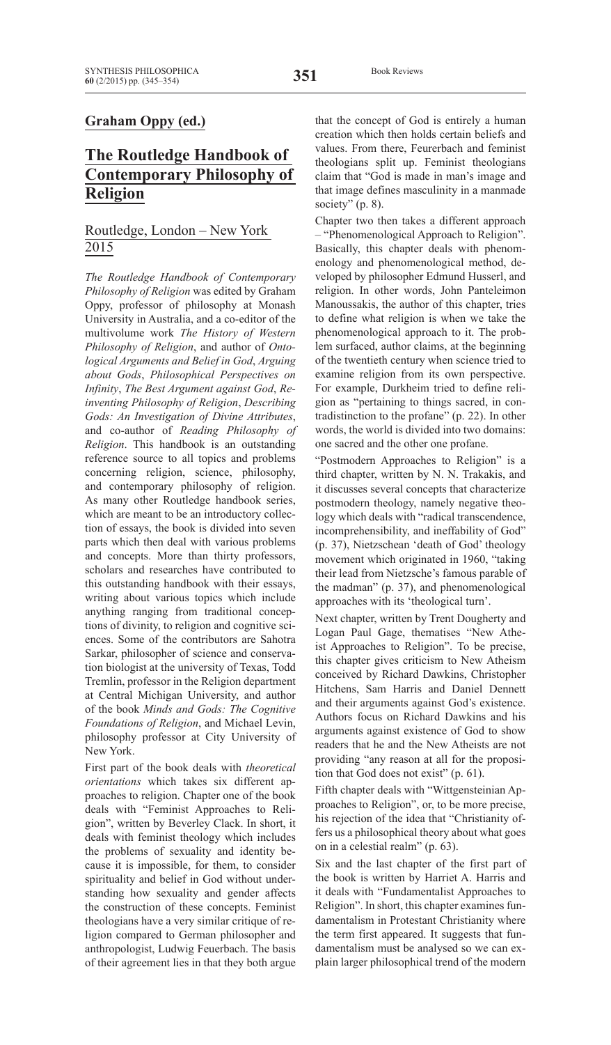#### **Graham Oppy (ed.)**

## **The Routledge Handbook of Contemporary Philosophy of Religion**

#### Routledge, London – New York 2015

*The Routledge Handbook of Contemporary Philosophy of Religion* was edited by Graham Oppy, professor of philosophy at Monash University in Australia, and a co-editor of the multivolume work *The History of Western Philosophy of Religion*, and author of *Ontological Arguments and Belief in God*, *Arguing about Gods*, *Philosophical Perspectives on Infinity*, *The Best Argument against God*, *Reinventing Philosophy of Religion*, *Describing Gods: An Investigation of Divine Attributes*, and co-author of *Reading Philosophy of Religion*. This handbook is an outstanding reference source to all topics and problems concerning religion, science, philosophy, and contemporary philosophy of religion. As many other Routledge handbook series, which are meant to be an introductory collection of essays, the book is divided into seven parts which then deal with various problems and concepts. More than thirty professors, scholars and researches have contributed to this outstanding handbook with their essays, writing about various topics which include anything ranging from traditional conceptions of divinity, to religion and cognitive sciences. Some of the contributors are Sahotra Sarkar, philosopher of science and conservation biologist at the university of Texas, Todd Tremlin, professor in the Religion department at Central Michigan University, and author of the book *Minds and Gods: The Cognitive Foundations of Religion*, and Michael Levin, philosophy professor at City University of New York.

First part of the book deals with *theoretical orientations* which takes six different approaches to religion. Chapter one of the book deals with "Feminist Approaches to Religion", written by Beverley Clack. In short, it deals with feminist theology which includes the problems of sexuality and identity because it is impossible, for them, to consider spirituality and belief in God without understanding how sexuality and gender affects the construction of these concepts. Feminist theologians have a very similar critique of religion compared to German philosopher and anthropologist, Ludwig Feuerbach. The basis of their agreement lies in that they both argue that the concept of God is entirely a human creation which then holds certain beliefs and values. From there, Feurerbach and feminist theologians split up. Feminist theologians claim that "God is made in man's image and that image defines masculinity in a manmade society" (p. 8).

Chapter two then takes a different approach – "Phenomenological Approach to Religion". Basically, this chapter deals with phenomenology and phenomenological method, developed by philosopher Edmund Husserl, and religion. In other words, John Panteleimon Manoussakis, the author of this chapter, tries to define what religion is when we take the phenomenological approach to it. The problem surfaced, author claims, at the beginning of the twentieth century when science tried to examine religion from its own perspective. For example, Durkheim tried to define religion as "pertaining to things sacred, in contradistinction to the profane" (p. 22). In other words, the world is divided into two domains: one sacred and the other one profane.

"Postmodern Approaches to Religion" is a third chapter, written by N. N. Trakakis, and it discusses several concepts that characterize postmodern theology, namely negative theology which deals with "radical transcendence, incomprehensibility, and ineffability of God" (p. 37), Nietzschean 'death of God' theology movement which originated in 1960, "taking their lead from Nietzsche's famous parable of the madman" (p. 37), and phenomenological approaches with its 'theological turn'.

Next chapter, written by Trent Dougherty and Logan Paul Gage, thematises "New Atheist Approaches to Religion". To be precise, this chapter gives criticism to New Atheism conceived by Richard Dawkins, Christopher Hitchens, Sam Harris and Daniel Dennett and their arguments against God's existence. Authors focus on Richard Dawkins and his arguments against existence of God to show readers that he and the New Atheists are not providing "any reason at all for the proposition that God does not exist" (p. 61).

Fifth chapter deals with "Wittgensteinian Approaches to Religion", or, to be more precise, his rejection of the idea that "Christianity offers us a philosophical theory about what goes on in a celestial realm" (p. 63).

Six and the last chapter of the first part of the book is written by Harriet A. Harris and it deals with "Fundamentalist Approaches to Religion". In short, this chapter examines fundamentalism in Protestant Christianity where the term first appeared. It suggests that fundamentalism must be analysed so we can explain larger philosophical trend of the modern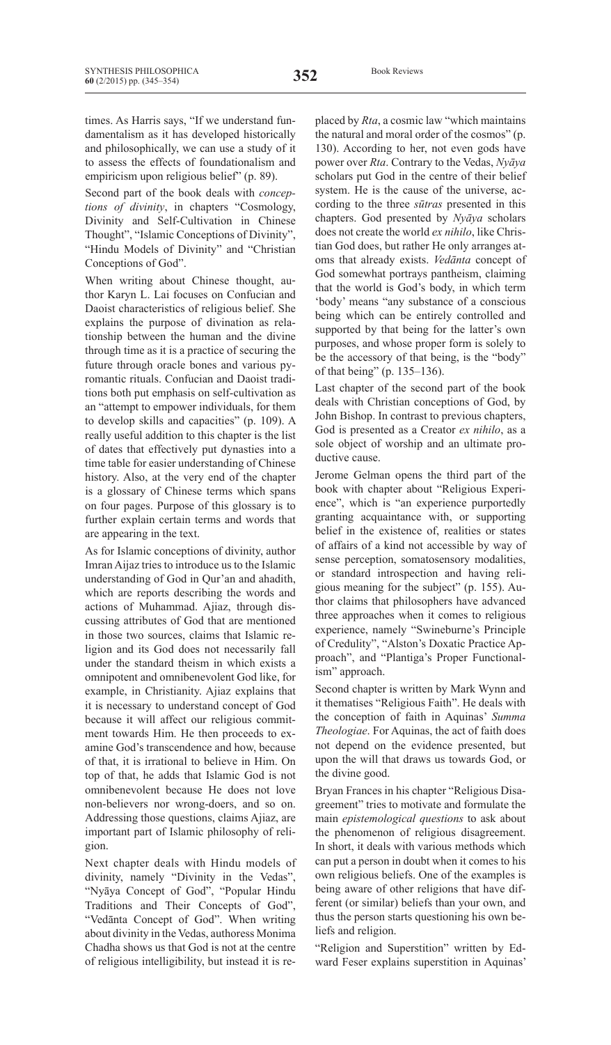times. As Harris says, "If we understand fundamentalism as it has developed historically and philosophically, we can use a study of it to assess the effects of foundationalism and empiricism upon religious belief" (p. 89).

Second part of the book deals with *conceptions of divinity*, in chapters "Cosmology, Divinity and Self-Cultivation in Chinese Thought", "Islamic Conceptions of Divinity", "Hindu Models of Divinity" and "Christian Conceptions of God".

When writing about Chinese thought, author Karyn L. Lai focuses on Confucian and Daoist characteristics of religious belief. She explains the purpose of divination as relationship between the human and the divine through time as it is a practice of securing the future through oracle bones and various pyromantic rituals. Confucian and Daoist traditions both put emphasis on self-cultivation as an "attempt to empower individuals, for them to develop skills and capacities" (p. 109). A really useful addition to this chapter is the list of dates that effectively put dynasties into a time table for easier understanding of Chinese history. Also, at the very end of the chapter is a glossary of Chinese terms which spans on four pages. Purpose of this glossary is to further explain certain terms and words that are appearing in the text.

As for Islamic conceptions of divinity, author ImranAijaz tries to introduce us to the Islamic understanding of God in Qur'an and ahadith, which are reports describing the words and actions of Muhammad. Ajiaz, through discussing attributes of God that are mentioned in those two sources, claims that Islamic religion and its God does not necessarily fall under the standard theism in which exists a omnipotent and omnibenevolent God like, for example, in Christianity. Ajiaz explains that it is necessary to understand concept of God because it will affect our religious commitment towards Him. He then proceeds to examine God's transcendence and how, because of that, it is irrational to believe in Him. On top of that, he adds that Islamic God is not omnibenevolent because He does not love non-believers nor wrong-doers, and so on. Addressing those questions, claims Ajiaz, are important part of Islamic philosophy of religion.

Next chapter deals with Hindu models of divinity, namely "Divinity in the Vedas", "Nyāya Concept of God", "Popular Hindu Traditions and Their Concepts of God", "Vedānta Concept of God". When writing about divinity in the Vedas, authoress Monima Chadha shows us that God is not at the centre of religious intelligibility, but instead it is replaced by *Rta*, a cosmic law "which maintains the natural and moral order of the cosmos" (p. 130). According to her, not even gods have power over *Rta*. Contrary to the Vedas, *Nyāya* scholars put God in the centre of their belief system. He is the cause of the universe, according to the three *sūtras* presented in this chapters. God presented by *Nyāya* scholars does not create the world *ex nihilo*, like Christian God does, but rather He only arranges atoms that already exists. *Vedānta* concept of God somewhat portrays pantheism, claiming that the world is God's body, in which term 'body' means "any substance of a conscious being which can be entirely controlled and supported by that being for the latter's own purposes, and whose proper form is solely to be the accessory of that being, is the "body" of that being" (p. 135–136).

Last chapter of the second part of the book deals with Christian conceptions of God, by John Bishop. In contrast to previous chapters, God is presented as a Creator *ex nihilo*, as a sole object of worship and an ultimate productive cause.

Jerome Gelman opens the third part of the book with chapter about "Religious Experience", which is "an experience purportedly granting acquaintance with, or supporting belief in the existence of, realities or states of affairs of a kind not accessible by way of sense perception, somatosensory modalities, or standard introspection and having religious meaning for the subject" (p. 155). Author claims that philosophers have advanced three approaches when it comes to religious experience, namely "Swineburne's Principle of Credulity", "Alston's Doxatic Practice Approach", and "Plantiga's Proper Functionalism" approach.

Second chapter is written by Mark Wynn and it thematises "Religious Faith". He deals with the conception of faith in Aquinas' *Summa Theologiae*. For Aquinas, the act of faith does not depend on the evidence presented, but upon the will that draws us towards God, or the divine good.

Bryan Frances in his chapter "Religious Disagreement" tries to motivate and formulate the main *epistemological questions* to ask about the phenomenon of religious disagreement. In short, it deals with various methods which can put a person in doubt when it comes to his own religious beliefs. One of the examples is being aware of other religions that have different (or similar) beliefs than your own, and thus the person starts questioning his own beliefs and religion.

"Religion and Superstition" written by Edward Feser explains superstition in Aquinas'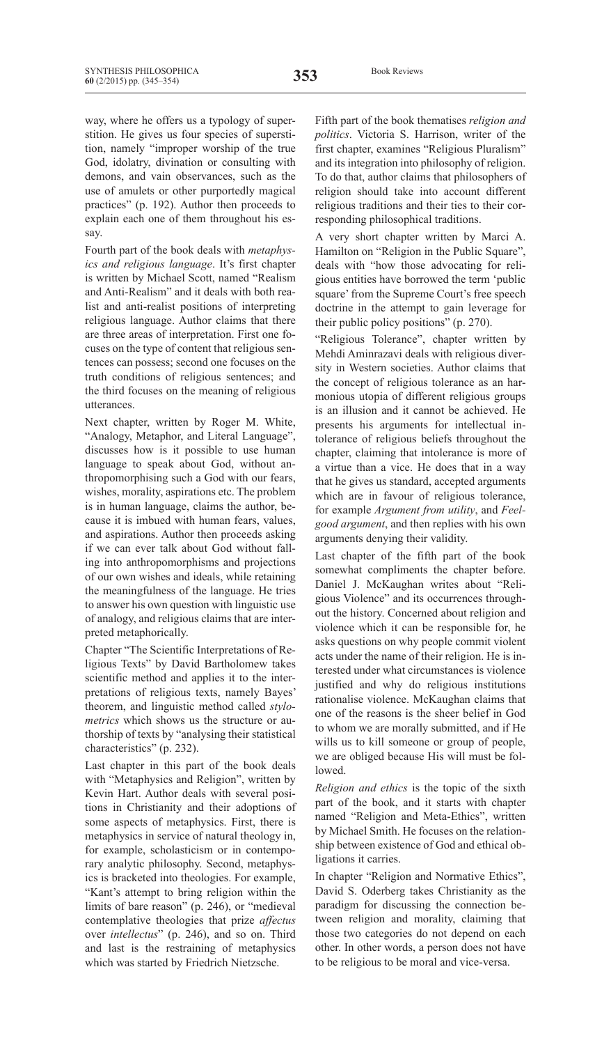way, where he offers us a typology of superstition. He gives us four species of superstition, namely "improper worship of the true God, idolatry, divination or consulting with demons, and vain observances, such as the use of amulets or other purportedly magical practices" (p. 192). Author then proceeds to explain each one of them throughout his essay.

Fourth part of the book deals with *metaphysics and religious language*. It's first chapter is written by Michael Scott, named "Realism and Anti-Realism" and it deals with both realist and anti-realist positions of interpreting religious language. Author claims that there are three areas of interpretation. First one focuses on the type of content that religious sentences can possess; second one focuses on the truth conditions of religious sentences; and the third focuses on the meaning of religious utterances.

Next chapter, written by Roger M. White, "Analogy, Metaphor, and Literal Language", discusses how is it possible to use human language to speak about God, without anthropomorphising such a God with our fears, wishes, morality, aspirations etc. The problem is in human language, claims the author, because it is imbued with human fears, values, and aspirations. Author then proceeds asking if we can ever talk about God without falling into anthropomorphisms and projections of our own wishes and ideals, while retaining the meaningfulness of the language. He tries to answer his own question with linguistic use of analogy, and religious claims that are interpreted metaphorically.

Chapter "The Scientific Interpretations of Religious Texts" by David Bartholomew takes scientific method and applies it to the interpretations of religious texts, namely Bayes' theorem, and linguistic method called *stylometrics* which shows us the structure or authorship of texts by "analysing their statistical characteristics" (p. 232).

Last chapter in this part of the book deals with "Metaphysics and Religion", written by Kevin Hart. Author deals with several positions in Christianity and their adoptions of some aspects of metaphysics. First, there is metaphysics in service of natural theology in, for example, scholasticism or in contemporary analytic philosophy. Second, metaphysics is bracketed into theologies. For example, "Kant's attempt to bring religion within the limits of bare reason" (p. 246), or "medieval contemplative theologies that prize *affectus* over *intellectus*" (p. 246), and so on. Third and last is the restraining of metaphysics which was started by Friedrich Nietzsche.

Fifth part of the book thematises *religion and politics*. Victoria S. Harrison, writer of the first chapter, examines "Religious Pluralism" and its integration into philosophy of religion. To do that, author claims that philosophers of religion should take into account different religious traditions and their ties to their corresponding philosophical traditions.

A very short chapter written by Marci A. Hamilton on "Religion in the Public Square", deals with "how those advocating for religious entities have borrowed the term 'public square' from the Supreme Court's free speech doctrine in the attempt to gain leverage for their public policy positions" (p. 270).

"Religious Tolerance", chapter written by Mehdi Aminrazavi deals with religious diversity in Western societies. Author claims that the concept of religious tolerance as an harmonious utopia of different religious groups is an illusion and it cannot be achieved. He presents his arguments for intellectual intolerance of religious beliefs throughout the chapter, claiming that intolerance is more of a virtue than a vice. He does that in a way that he gives us standard, accepted arguments which are in favour of religious tolerance, for example *Argument from utility*, and *Feelgood argument*, and then replies with his own arguments denying their validity.

Last chapter of the fifth part of the book somewhat compliments the chapter before. Daniel J. McKaughan writes about "Religious Violence" and its occurrences throughout the history. Concerned about religion and violence which it can be responsible for, he asks questions on why people commit violent acts under the name of their religion. He is interested under what circumstances is violence justified and why do religious institutions rationalise violence. McKaughan claims that one of the reasons is the sheer belief in God to whom we are morally submitted, and if He wills us to kill someone or group of people, we are obliged because His will must be followed.

*Religion and ethics* is the topic of the sixth part of the book, and it starts with chapter named "Religion and Meta-Ethics", written by Michael Smith. He focuses on the relationship between existence of God and ethical obligations it carries.

In chapter "Religion and Normative Ethics", David S. Oderberg takes Christianity as the paradigm for discussing the connection between religion and morality, claiming that those two categories do not depend on each other. In other words, a person does not have to be religious to be moral and vice-versa.